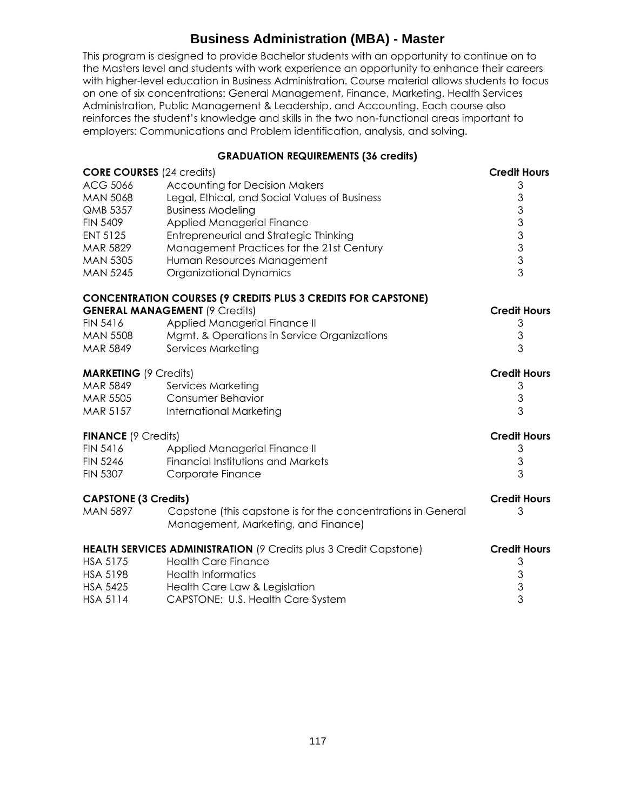## **Business Administration (MBA) - Master**

This program is designed to provide Bachelor students with an opportunity to continue on to the Masters level and students with work experience an opportunity to enhance their careers with higher-level education in Business Administration. Course material allows students to focus on one of six concentrations: General Management, Finance, Marketing, Health Services Administration, Public Management & Leadership, and Accounting. Each course also reinforces the student's knowledge and skills in the two non-functional areas important to employers: Communications and Problem identification, analysis, and solving.

## **GRADUATION REQUIREMENTS (36 credits)**

| <b>CORE COURSES</b> (24 credits)                                  |                                                                                                     | <b>Credit Hours</b>       |
|-------------------------------------------------------------------|-----------------------------------------------------------------------------------------------------|---------------------------|
| ACG 5066                                                          | <b>Accounting for Decision Makers</b>                                                               | 3                         |
| <b>MAN 5068</b>                                                   | Legal, Ethical, and Social Values of Business                                                       | 3                         |
| QMB 5357                                                          | <b>Business Modeling</b>                                                                            | $\mathfrak{S}$            |
| <b>FIN 5409</b>                                                   | Applied Managerial Finance                                                                          | 3                         |
| <b>ENT 5125</b>                                                   | Entrepreneurial and Strategic Thinking                                                              | $\mathfrak{S}$            |
| MAR 5829                                                          | Management Practices for the 21st Century                                                           |                           |
| <b>MAN 5305</b>                                                   | Human Resources Management                                                                          | $\frac{3}{3}$             |
| <b>MAN 5245</b>                                                   | <b>Organizational Dynamics</b>                                                                      | 3                         |
|                                                                   | <b>CONCENTRATION COURSES (9 CREDITS PLUS 3 CREDITS FOR CAPSTONE)</b>                                |                           |
|                                                                   | <b>GENERAL MANAGEMENT (9 Credits)</b>                                                               | <b>Credit Hours</b>       |
| <b>FIN 5416</b>                                                   | Applied Managerial Finance II                                                                       | 3                         |
| <b>MAN 5508</b>                                                   | Mgmt. & Operations in Service Organizations                                                         | 3                         |
| MAR 5849                                                          | <b>Services Marketing</b>                                                                           | 3                         |
| <b>MARKETING (9 Credits)</b>                                      |                                                                                                     | <b>Credit Hours</b>       |
| MAR 5849                                                          | Services Marketing                                                                                  | 3                         |
| MAR 5505                                                          | Consumer Behavior                                                                                   | 3                         |
| <b>MAR 5157</b>                                                   | <b>International Marketing</b>                                                                      | 3                         |
| <b>FINANCE (9 Credits)</b>                                        |                                                                                                     | <b>Credit Hours</b>       |
| <b>FIN 5416</b>                                                   | Applied Managerial Finance II                                                                       | 3                         |
| <b>FIN 5246</b>                                                   | <b>Financial Institutions and Markets</b>                                                           | 3                         |
| <b>FIN 5307</b>                                                   | Corporate Finance                                                                                   | 3                         |
| <b>CAPSTONE (3 Credits)</b>                                       |                                                                                                     | <b>Credit Hours</b>       |
| <b>MAN 5897</b>                                                   | Capstone (this capstone is for the concentrations in General<br>Management, Marketing, and Finance) | 3                         |
| HEALTH SERVICES ADMINISTRATION (9 Credits plus 3 Credit Capstone) |                                                                                                     | <b>Credit Hours</b>       |
| <b>HSA 5175</b>                                                   | <b>Health Care Finance</b>                                                                          | 3                         |
| <b>HSA 5198</b>                                                   | <b>Health Informatics</b>                                                                           | $\ensuremath{\mathsf{3}}$ |
| <b>HSA 5425</b>                                                   | Health Care Law & Legislation                                                                       | 3                         |
| <b>HSA 5114</b>                                                   | CAPSTONE: U.S. Health Care System                                                                   | 3                         |